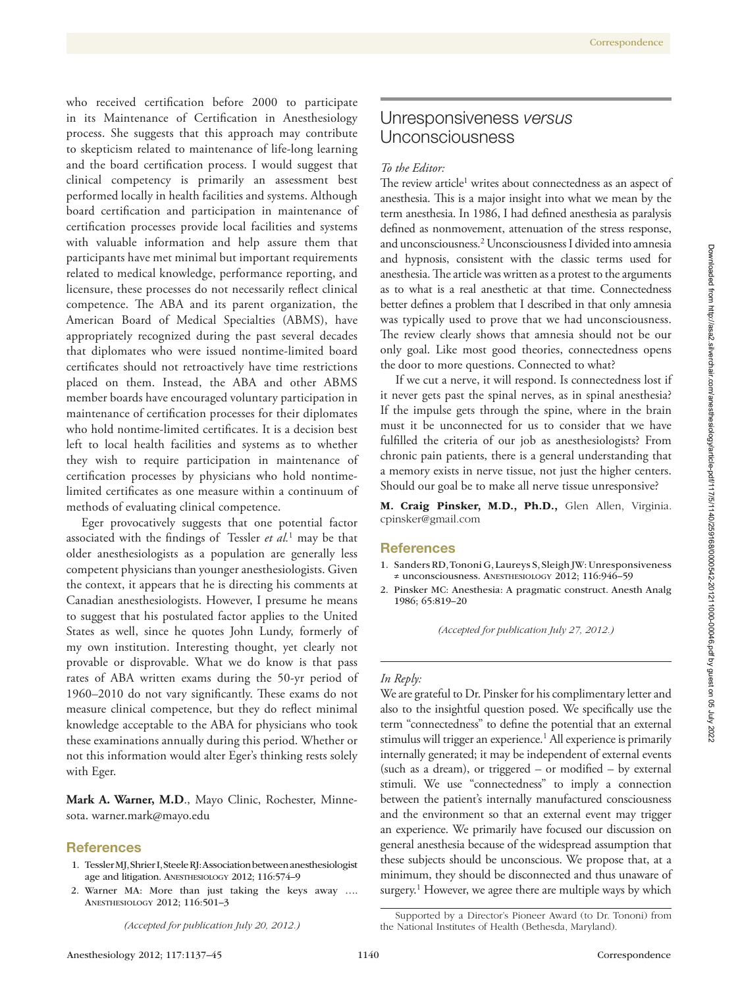who received certification before 2000 to participate in its Maintenance of Certification in Anesthesiology process. She suggests that this approach may contribute to skepticism related to maintenance of life-long learning and the board certification process. I would suggest that clinical competency is primarily an assessment best performed locally in health facilities and systems. Although board certification and participation in maintenance of certification processes provide local facilities and systems with valuable information and help assure them that participants have met minimal but important requirements related to medical knowledge, performance reporting, and licensure, these processes do not necessarily reflect clinical competence. The ABA and its parent organization, the American Board of Medical Specialties (ABMS), have appropriately recognized during the past several decades that diplomates who were issued nontime-limited board certificates should not retroactively have time restrictions placed on them. Instead, the ABA and other ABMS member boards have encouraged voluntary participation in maintenance of certification processes for their diplomates who hold nontime-limited certificates. It is a decision best left to local health facilities and systems as to whether they wish to require participation in maintenance of certification processes by physicians who hold nontimelimited certificates as one measure within a continuum of methods of evaluating clinical competence.

Eger provocatively suggests that one potential factor associated with the findings of Tessler *et al.*<sup>1</sup> may be that older anesthesiologists as a population are generally less competent physicians than younger anesthesiologists. Given the context, it appears that he is directing his comments at Canadian anesthesiologists. However, I presume he means to suggest that his postulated factor applies to the United States as well, since he quotes John Lundy, formerly of my own institution. Interesting thought, yet clearly not provable or disprovable. What we do know is that pass rates of ABA written exams during the 50-yr period of 1960–2010 do not vary significantly. These exams do not measure clinical competence, but they do reflect minimal knowledge acceptable to the ABA for physicians who took these examinations annually during this period. Whether or not this information would alter Eger's thinking rests solely with Eger.

**Mark A. Warner, M.D**., Mayo Clinic, Rochester, Minnesota. [warner.mark@mayo.edu](mailto:warner.mark@mayo.edu)

#### **References**

- 1. Tessler MJ, Shrier I, Steele RJ: Association between anesthesiologist age and litigation. Anesthesiology 2012; 116:574–9
- 2. Warner MA: More than just taking the keys away …. Anesthesiology 2012; 116:501–3

*(Accepted for publication July 20, 2012.)*

## Unresponsiveness *versus* Unconsciousness

## *To the Editor:*

The review article<sup>1</sup> writes about connectedness as an aspect of anesthesia. This is a major insight into what we mean by the term anesthesia. In 1986, I had defined anesthesia as paralysis defined as nonmovement, attenuation of the stress response, and unconsciousness.2 Unconsciousness I divided into amnesia and hypnosis, consistent with the classic terms used for anesthesia. The article was written as a protest to the arguments as to what is a real anesthetic at that time. Connectedness better defines a problem that I described in that only amnesia was typically used to prove that we had unconsciousness. The review clearly shows that amnesia should not be our only goal. Like most good theories, connectedness opens the door to more questions. Connected to what?

If we cut a nerve, it will respond. Is connectedness lost if it never gets past the spinal nerves, as in spinal anesthesia? If the impulse gets through the spine, where in the brain must it be unconnected for us to consider that we have fulfilled the criteria of our job as anesthesiologists? From chronic pain patients, there is a general understanding that a memory exists in nerve tissue, not just the higher centers. Should our goal be to make all nerve tissue unresponsive?

M. Craig Pinsker, M.D., Ph.D., Glen Allen, Virginia. cpinsker@gmail.com

#### **References**

- 1. Sanders RD, Tononi G, Laureys S, Sleigh JW: Unresponsiveness ≠ unconsciousness. Anesthesiology 2012; 116:946–59
- 2. Pinsker MC: Anesthesia: A pragmatic construct. Anesth Analg 1986; 65:819–20

*(Accepted for publication July 27, 2012.)*

## *In Reply:*

We are grateful to Dr. Pinsker for his complimentary letter and also to the insightful question posed. We specifically use the term "connectedness" to define the potential that an external stimulus will trigger an experience.<sup>1</sup> All experience is primarily internally generated; it may be independent of external events (such as a dream), or triggered – or modified – by external stimuli. We use "connectedness" to imply a connection between the patient's internally manufactured consciousness and the environment so that an external event may trigger an experience. We primarily have focused our discussion on general anesthesia because of the widespread assumption that these subjects should be unconscious. We propose that, at a minimum, they should be disconnected and thus unaware of surgery.<sup>1</sup> However, we agree there are multiple ways by which

Supported by a Director's Pioneer Award (to Dr. Tononi) from

the National Institutes of Health (Bethesda, Maryland).